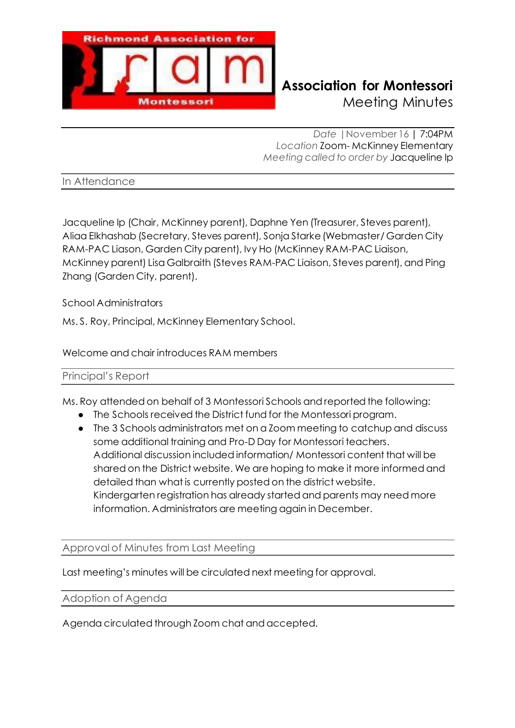

# **Richmond Association for Montessori** Meeting Minutes

*Date |*November 16 | 7:04PM *Location* Zoom- McKinney Elementary *Meeting called to order by* Jacqueline Ip

In Attendance

Jacqueline Ip (Chair, McKinney parent), Daphne Yen (Treasurer, Steves parent), Aliaa Elkhashab (Secretary, Steves parent), Sonja Starke (Webmaster/ Garden City RAM-PAC Liason, Garden City parent), Ivy Ho (McKinney RAM-PAC Liaison, McKinney parent) Lisa Galbraith (Steves RAM-PAC Liaison, Steves parent), and Ping Zhang (Garden City, parent).

School Administrators

Ms. S. Roy, Principal, McKinney Elementary School.

Welcome and chair introduces RAM members

### Principal's Report

Ms. Roy attended on behalf of 3 Montessori Schools and reported the following:

- The Schools received the District fund for the Montessori program.
- The 3 Schools administrators met on a Zoom meeting to catchup and discuss some additional training and Pro-D Day for Montessori teachers. Additional discussion included information/ Montessori content that will be shared on the District website. We are hoping to make it more informed and detailed than what is currently posted on the district website. Kindergarten registration has already started and parents may need more information. Administrators are meeting again in December.

Approval of Minutes from Last Meeting

Last meeting's minutes will be circulated next meeting for approval.

Adoption of Agenda

Agenda circulated through Zoom chat and accepted.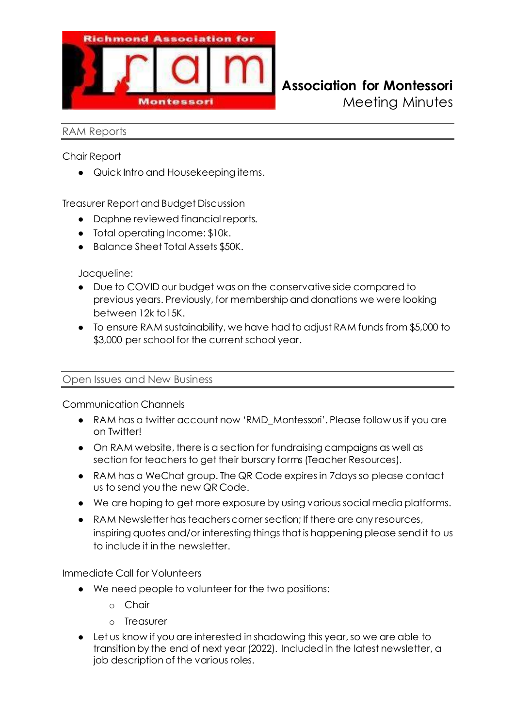

Meeting Minutes

#### RAM Reports

Chair Report

● Quick Intro and Housekeeping items.

Treasurer Report and Budget Discussion

- Daphne reviewed financial reports.
- Total operating Income: \$10k.
- Balance Sheet Total Assets \$50K.

Jacqueline:

- Due to COVID our budget was on the conservative side compared to previous years. Previously, for membership and donations we were looking between 12k to15K.
- To ensure RAM sustainability, we have had to adjust RAM funds from \$5,000 to \$3,000 per school for the current school year.

### Open Issues and New Business

Communication Channels

- RAM has a twitter account now 'RMD\_Montessori'. Please follow us if you are on Twitter!
- On RAM website, there is a section for fundraising campaigns as well as section for teachers to get their bursary forms (Teacher Resources).
- RAM has a WeChat group. The QR Code expires in 7days so please contact us to send you the new QR Code.
- We are hoping to get more exposure by using various social media platforms.
- RAM Newsletter has teachers corner section; If there are any resources, inspiring quotes and/or interesting things that is happening please send it to us to include it in the newsletter.

Immediate Call for Volunteers

- We need people to volunteer for the two positions:
	- o Chair
	- o Treasurer
- Let us know if you are interested in shadowing this year, so we are able to transition by the end of next year (2022). Included in the latest newsletter, a job description of the various roles.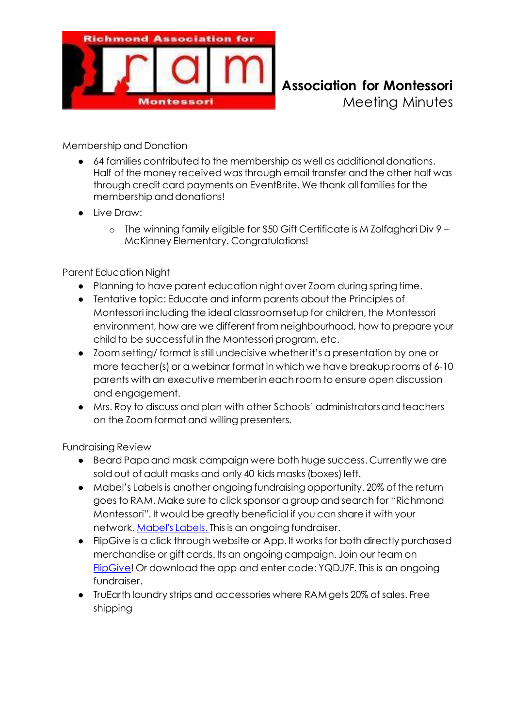

**Richmond Association for Montessori** Meeting Minutes

Membership and Donation

- 64 families contributed to the membership as well as additional donations. Half of the money received was through email transfer and the other half was through credit card payments on EventBrite. We thank all families for the membership and donations!
- Live Draw:
	- o The winning family eligible for \$50 Gift Certificate is M Zolfaghari Div 9 McKinney Elementary. Congratulations!

## Parent Education Night

- Planning to have parent education night over Zoom during spring time.
- Tentative topic: Educate and inform parents about the Principles of Montessori including the ideal classroom setup for children, the Montessori environment, how are we different from neighbourhood, how to prepare your child to be successful in the Montessori program, etc.
- Zoom setting/ format is still undecisive whether it's a presentation by one or more teacher(s) or a webinar format in which we have breakup rooms of 6-10 parents with an executive member in each room to ensure open discussion and engagement.
- Mrs. Roy to discuss and plan with other Schools' administrators and teachers on the Zoom format and willing presenters.

Fundraising Review

- Beard Papa and mask campaign were both huge success. Currently we are sold out of adult masks and only 40 kids masks (boxes) left.
- Mabel's Labels is another ongoing fundraising opportunity. 20% of the return goes to RAM. Make sure to click sponsor a group and search for "Richmond Montessori". It would be greatly beneficial if you can share it with your network[. Mabel's Labels](https://mabelslabels.ca/en_CA/fundraising/support/). This is an ongoing fundraiser.
- FlipGive is a click through website or App. It works for both directly purchased merchandise or gift cards. Its an ongoing campaign. Join our team on [FlipGive!](https://scotiabankhockeyclub.flipgive.com/f/1172093) Or download the app and enter code: YQDJ7F. This is an ongoing fundraiser.
- TruEarth laundry strips and accessories where RAM gets 20% of sales. Free shipping